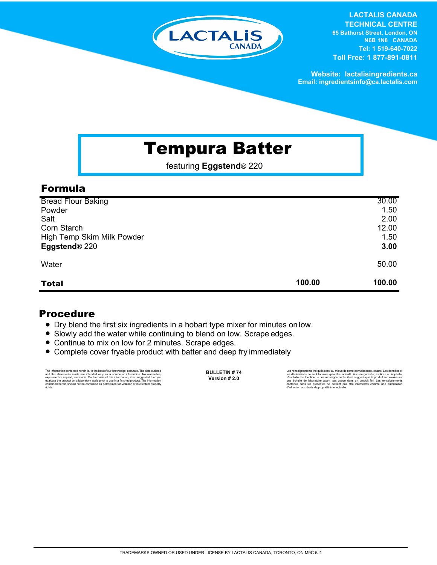

**LACTALIS CANADA TECHNICAL CENTRE 65 Bathurst Street, London, ON N6B 1N8 CANADA Tel: 1 519-640-7022 Toll Free: 1 877-891-0811**

**Website: lactalisingredients.ca Email: ingredientsinfo@ca.lactalis.com**

# Tempura Batter

featuring **Eggstend**® 220

### Formula

| <b>Total</b>                       | 100.00 | 100.00       |
|------------------------------------|--------|--------------|
| Eggstend <sup>®</sup> 220<br>Water |        | 50.00        |
| High Temp Skim Milk Powder         |        | 1.50<br>3.00 |
| Corn Starch                        |        | 12.00        |
| Salt                               |        | 2.00         |
| Powder                             |        | 1.50         |
| <b>Bread Flour Baking</b>          |        | 30.00        |

### Procedure

- = Dry blend the first six ingredients in a hobart type mixer for minutes on low.
- Slowly add the water while continuing to blend on low. Scrape edges.
- Continue to mix on low for 2 minutes. Scrape edges.
- Complete cover fryable product with batter and deep fry immediately

The information contained herein is, to the best of our knowledge, accurate. The data cutlined the statements made are intended only as a source of information. No warranties, expressed or implied, are made. On the basis o

**BULLETIN # 74**

Les rensejanements indiqués sont, au mieux de notre connaissance, exacts. Les données et<br>les déclarations ne sont fournies qu'à titre indicatif. Aucune garantie, explicite ou implicite,<br>riest faite. En fonction de ces rens